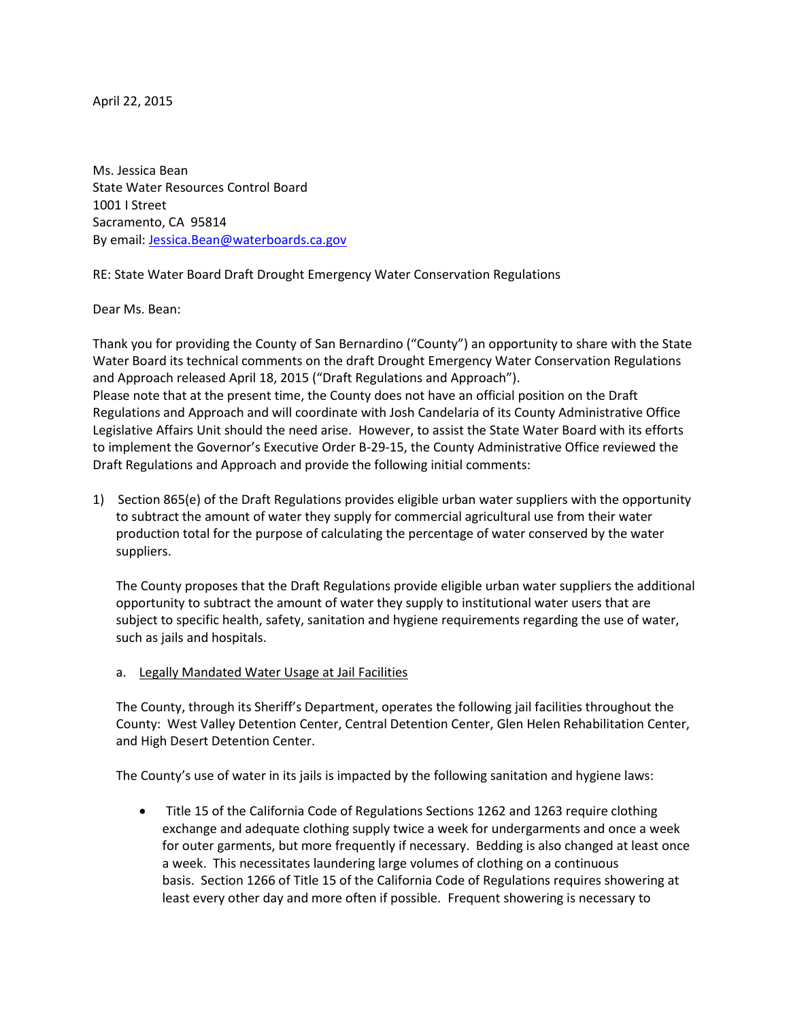April 22, 2015

Ms. Jessica Bean State Water Resources Control Board 1001 I Street Sacramento, CA 95814 By email[: Jessica.Bean@waterboards.ca.gov](mailto:Jessica.Bean@waterboards.ca.gov)

RE: State Water Board Draft Drought Emergency Water Conservation Regulations

Dear Ms. Bean:

Thank you for providing the County of San Bernardino ("County") an opportunity to share with the State Water Board its technical comments on the draft Drought Emergency Water Conservation Regulations and Approach released April 18, 2015 ("Draft Regulations and Approach"). Please note that at the present time, the County does not have an official position on the Draft Regulations and Approach and will coordinate with Josh Candelaria of its County Administrative Office Legislative Affairs Unit should the need arise. However, to assist the State Water Board with its efforts to implement the Governor's Executive Order B-29-15, the County Administrative Office reviewed the Draft Regulations and Approach and provide the following initial comments:

1) Section 865(e) of the Draft Regulations provides eligible urban water suppliers with the opportunity to subtract the amount of water they supply for commercial agricultural use from their water production total for the purpose of calculating the percentage of water conserved by the water suppliers.

The County proposes that the Draft Regulations provide eligible urban water suppliers the additional opportunity to subtract the amount of water they supply to institutional water users that are subject to specific health, safety, sanitation and hygiene requirements regarding the use of water, such as jails and hospitals.

a. Legally Mandated Water Usage at Jail Facilities

The County, through its Sheriff's Department, operates the following jail facilities throughout the County: West Valley Detention Center, Central Detention Center, Glen Helen Rehabilitation Center, and High Desert Detention Center.

The County's use of water in its jails is impacted by the following sanitation and hygiene laws:

 Title 15 of the California Code of Regulations Sections 1262 and 1263 require clothing exchange and adequate clothing supply twice a week for undergarments and once a week for outer garments, but more frequently if necessary. Bedding is also changed at least once a week. This necessitates laundering large volumes of clothing on a continuous basis. Section 1266 of Title 15 of the California Code of Regulations requires showering at least every other day and more often if possible. Frequent showering is necessary to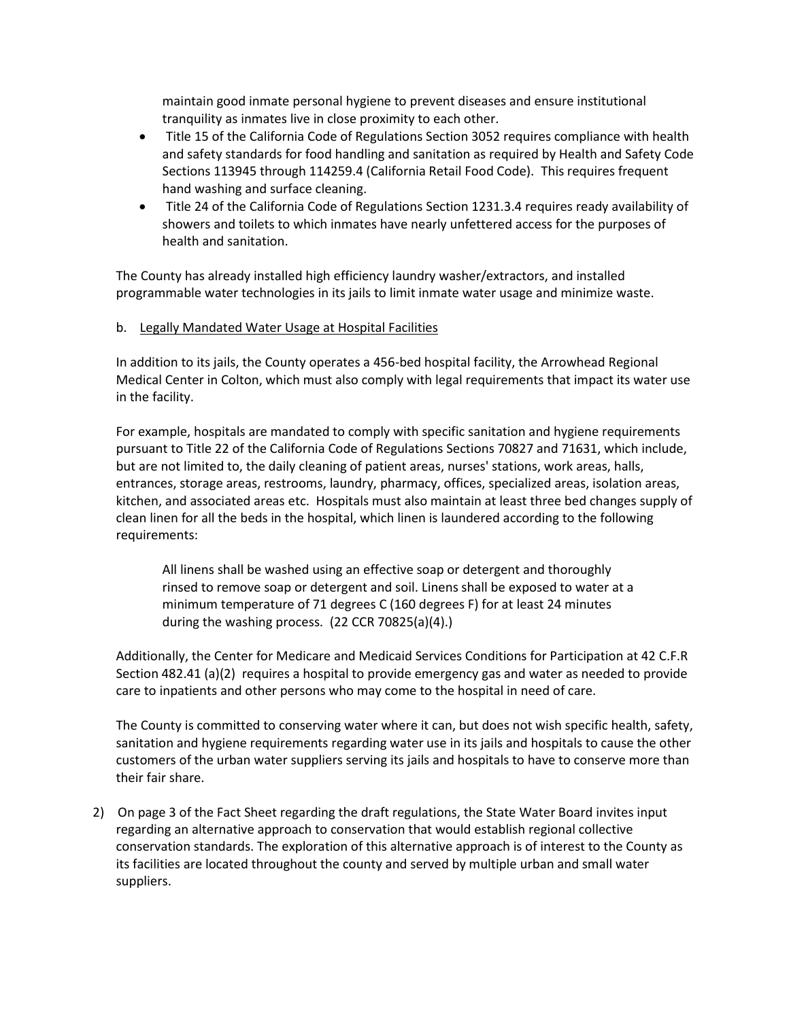maintain good inmate personal hygiene to prevent diseases and ensure institutional tranquility as inmates live in close proximity to each other.

- Title 15 of the California Code of Regulations Section 3052 requires compliance with health and safety standards for food handling and sanitation as required by Health and Safety Code Sections 113945 through 114259.4 (California Retail Food Code). This requires frequent hand washing and surface cleaning.
- Title 24 of the California Code of Regulations Section 1231.3.4 requires ready availability of showers and toilets to which inmates have nearly unfettered access for the purposes of health and sanitation.

The County has already installed high efficiency laundry washer/extractors, and installed programmable water technologies in its jails to limit inmate water usage and minimize waste.

## b. Legally Mandated Water Usage at Hospital Facilities

In addition to its jails, the County operates a 456-bed hospital facility, the Arrowhead Regional Medical Center in Colton, which must also comply with legal requirements that impact its water use in the facility.

For example, hospitals are mandated to comply with specific sanitation and hygiene requirements pursuant to Title 22 of the California Code of Regulations Sections 70827 and 71631, which include, but are not limited to, the daily cleaning of patient areas, nurses' stations, work areas, halls, entrances, storage areas, restrooms, laundry, pharmacy, offices, specialized areas, isolation areas, kitchen, and associated areas etc. Hospitals must also maintain at least three bed changes supply of clean linen for all the beds in the hospital, which linen is laundered according to the following requirements:

All linens shall be washed using an effective soap or detergent and thoroughly rinsed to remove soap or detergent and soil. Linens shall be exposed to water at a minimum temperature of 71 degrees C (160 degrees F) for at least 24 minutes during the washing process. (22 CCR 70825(a)(4).)

Additionally, the Center for Medicare and Medicaid Services Conditions for Participation at 42 C.F.R Section 482.41 (a)(2) requires a hospital to provide emergency gas and water as needed to provide care to inpatients and other persons who may come to the hospital in need of care.

The County is committed to conserving water where it can, but does not wish specific health, safety, sanitation and hygiene requirements regarding water use in its jails and hospitals to cause the other customers of the urban water suppliers serving its jails and hospitals to have to conserve more than their fair share.

2) On page 3 of the Fact Sheet regarding the draft regulations, the State Water Board invites input regarding an alternative approach to conservation that would establish regional collective conservation standards. The exploration of this alternative approach is of interest to the County as its facilities are located throughout the county and served by multiple urban and small water suppliers.